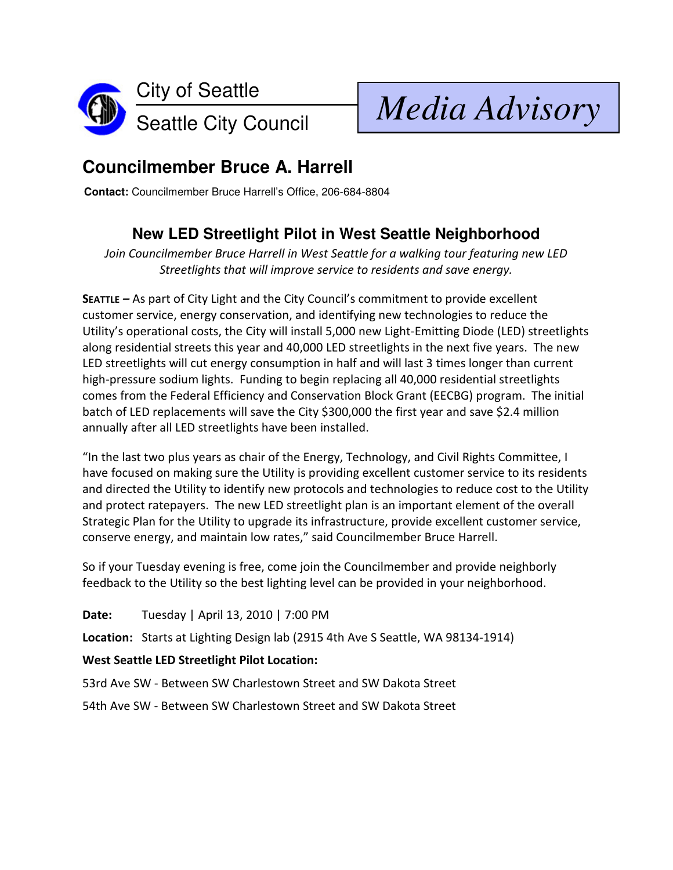

Seattle City Council *Media Advisory*

## **Councilmember Bruce A. Harrell**

**Contact:** Councilmember Bruce Harrell's Office, 206-684-8804

## **New LED Streetlight Pilot in West Seattle Neighborhood**

Join Councilmember Bruce Harrell in West Seattle for a walking tour featuring new LED Streetlights that will improve service to residents and save energy.

SEATTLE – As part of City Light and the City Council's commitment to provide excellent customer service, energy conservation, and identifying new technologies to reduce the Utility's operational costs, the City will install 5,000 new Light-Emitting Diode (LED) streetlights along residential streets this year and 40,000 LED streetlights in the next five years. The new LED streetlights will cut energy consumption in half and will last 3 times longer than current high-pressure sodium lights. Funding to begin replacing all 40,000 residential streetlights comes from the Federal Efficiency and Conservation Block Grant (EECBG) program. The initial batch of LED replacements will save the City \$300,000 the first year and save \$2.4 million annually after all LED streetlights have been installed.

"In the last two plus years as chair of the Energy, Technology, and Civil Rights Committee, I have focused on making sure the Utility is providing excellent customer service to its residents and directed the Utility to identify new protocols and technologies to reduce cost to the Utility and protect ratepayers. The new LED streetlight plan is an important element of the overall Strategic Plan for the Utility to upgrade its infrastructure, provide excellent customer service, conserve energy, and maintain low rates," said Councilmember Bruce Harrell.

So if your Tuesday evening is free, come join the Councilmember and provide neighborly feedback to the Utility so the best lighting level can be provided in your neighborhood.

Date: Tuesday | April 13, 2010 | 7:00 PM

Location: Starts at Lighting Design lab (2915 4th Ave S Seattle, WA 98134-1914)

## West Seattle LED Streetlight Pilot Location:

53rd Ave SW - Between SW Charlestown Street and SW Dakota Street

54th Ave SW - Between SW Charlestown Street and SW Dakota Street